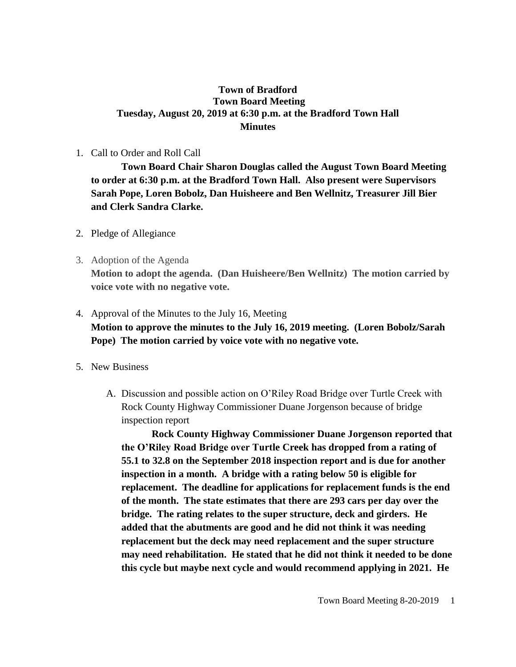### **Town of Bradford Town Board Meeting Tuesday, August 20, 2019 at 6:30 p.m. at the Bradford Town Hall Minutes**

### 1. Call to Order and Roll Call

**Town Board Chair Sharon Douglas called the August Town Board Meeting to order at 6:30 p.m. at the Bradford Town Hall. Also present were Supervisors Sarah Pope, Loren Bobolz, Dan Huisheere and Ben Wellnitz, Treasurer Jill Bier and Clerk Sandra Clarke.**

- 2. Pledge of Allegiance
- 3. Adoption of the Agenda **Motion to adopt the agenda. (Dan Huisheere/Ben Wellnitz) The motion carried by voice vote with no negative vote.**

# 4. Approval of the Minutes to the July 16, Meeting **Motion to approve the minutes to the July 16, 2019 meeting. (Loren Bobolz/Sarah Pope) The motion carried by voice vote with no negative vote.**

- 5. New Business
	- A. Discussion and possible action on O'Riley Road Bridge over Turtle Creek with Rock County Highway Commissioner Duane Jorgenson because of bridge inspection report

**Rock County Highway Commissioner Duane Jorgenson reported that the O'Riley Road Bridge over Turtle Creek has dropped from a rating of 55.1 to 32.8 on the September 2018 inspection report and is due for another inspection in a month. A bridge with a rating below 50 is eligible for replacement. The deadline for applications for replacement funds is the end of the month. The state estimates that there are 293 cars per day over the bridge. The rating relates to the super structure, deck and girders. He added that the abutments are good and he did not think it was needing replacement but the deck may need replacement and the super structure may need rehabilitation. He stated that he did not think it needed to be done this cycle but maybe next cycle and would recommend applying in 2021. He**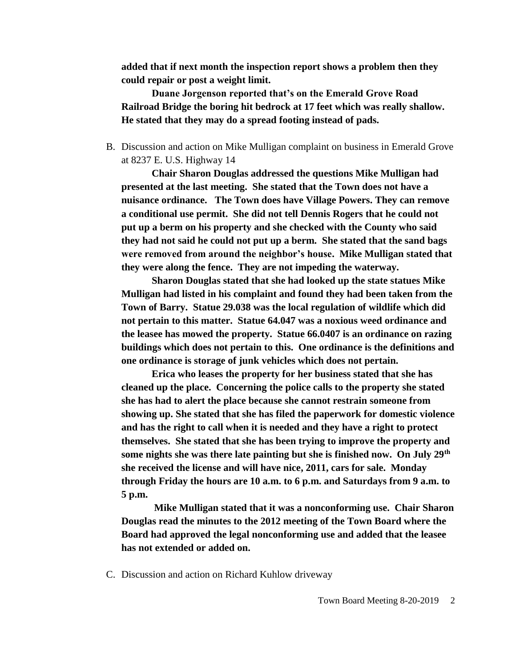**added that if next month the inspection report shows a problem then they could repair or post a weight limit.** 

**Duane Jorgenson reported that's on the Emerald Grove Road Railroad Bridge the boring hit bedrock at 17 feet which was really shallow. He stated that they may do a spread footing instead of pads.**

B. Discussion and action on Mike Mulligan complaint on business in Emerald Grove at 8237 E. U.S. Highway 14

**Chair Sharon Douglas addressed the questions Mike Mulligan had presented at the last meeting. She stated that the Town does not have a nuisance ordinance. The Town does have Village Powers. They can remove a conditional use permit. She did not tell Dennis Rogers that he could not put up a berm on his property and she checked with the County who said they had not said he could not put up a berm. She stated that the sand bags were removed from around the neighbor's house. Mike Mulligan stated that they were along the fence. They are not impeding the waterway.** 

**Sharon Douglas stated that she had looked up the state statues Mike Mulligan had listed in his complaint and found they had been taken from the Town of Barry. Statue 29.038 was the local regulation of wildlife which did not pertain to this matter. Statue 64.047 was a noxious weed ordinance and the leasee has mowed the property. Statue 66.0407 is an ordinance on razing buildings which does not pertain to this. One ordinance is the definitions and one ordinance is storage of junk vehicles which does not pertain.** 

**Erica who leases the property for her business stated that she has cleaned up the place. Concerning the police calls to the property she stated she has had to alert the place because she cannot restrain someone from showing up. She stated that she has filed the paperwork for domestic violence and has the right to call when it is needed and they have a right to protect themselves. She stated that she has been trying to improve the property and some nights she was there late painting but she is finished now. On July 29th she received the license and will have nice, 2011, cars for sale. Monday through Friday the hours are 10 a.m. to 6 p.m. and Saturdays from 9 a.m. to 5 p.m.** 

**Mike Mulligan stated that it was a nonconforming use. Chair Sharon Douglas read the minutes to the 2012 meeting of the Town Board where the Board had approved the legal nonconforming use and added that the leasee has not extended or added on.**

C. Discussion and action on Richard Kuhlow driveway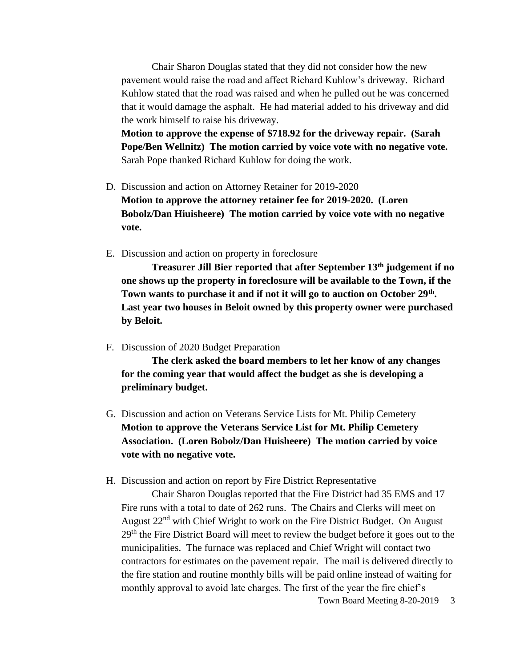Chair Sharon Douglas stated that they did not consider how the new pavement would raise the road and affect Richard Kuhlow's driveway. Richard Kuhlow stated that the road was raised and when he pulled out he was concerned that it would damage the asphalt. He had material added to his driveway and did the work himself to raise his driveway.

**Motion to approve the expense of \$718.92 for the driveway repair. (Sarah Pope/Ben Wellnitz) The motion carried by voice vote with no negative vote.**  Sarah Pope thanked Richard Kuhlow for doing the work.

- D. Discussion and action on Attorney Retainer for 2019-2020 **Motion to approve the attorney retainer fee for 2019-2020. (Loren Bobolz/Dan Hiuisheere) The motion carried by voice vote with no negative vote.**
- E. Discussion and action on property in foreclosure

**Treasurer Jill Bier reported that after September 13th judgement if no one shows up the property in foreclosure will be available to the Town, if the Town wants to purchase it and if not it will go to auction on October 29th . Last year two houses in Beloit owned by this property owner were purchased by Beloit.**

F. Discussion of 2020 Budget Preparation

**The clerk asked the board members to let her know of any changes for the coming year that would affect the budget as she is developing a preliminary budget.**

- G. Discussion and action on Veterans Service Lists for Mt. Philip Cemetery **Motion to approve the Veterans Service List for Mt. Philip Cemetery Association. (Loren Bobolz/Dan Huisheere) The motion carried by voice vote with no negative vote.**
- H. Discussion and action on report by Fire District Representative

Chair Sharon Douglas reported that the Fire District had 35 EMS and 17 Fire runs with a total to date of 262 runs. The Chairs and Clerks will meet on August 22<sup>nd</sup> with Chief Wright to work on the Fire District Budget. On August 29<sup>th</sup> the Fire District Board will meet to review the budget before it goes out to the municipalities. The furnace was replaced and Chief Wright will contact two contractors for estimates on the pavement repair. The mail is delivered directly to the fire station and routine monthly bills will be paid online instead of waiting for monthly approval to avoid late charges. The first of the year the fire chief's

Town Board Meeting 8-20-2019 3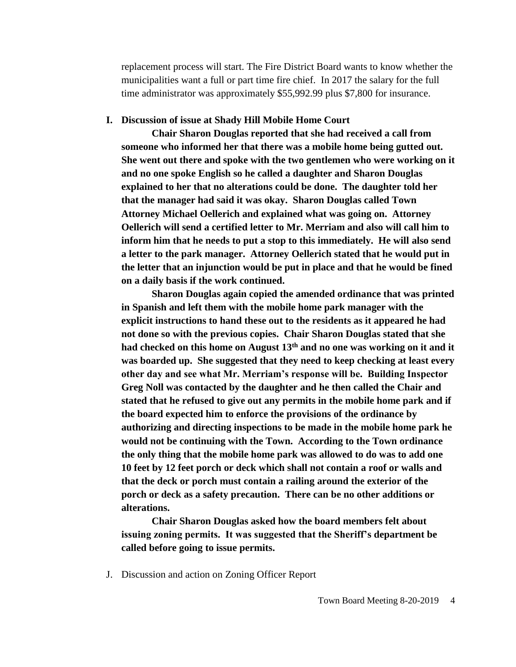replacement process will start. The Fire District Board wants to know whether the municipalities want a full or part time fire chief. In 2017 the salary for the full time administrator was approximately \$55,992.99 plus \$7,800 for insurance.

#### **I. Discussion of issue at Shady Hill Mobile Home Court**

**Chair Sharon Douglas reported that she had received a call from someone who informed her that there was a mobile home being gutted out. She went out there and spoke with the two gentlemen who were working on it and no one spoke English so he called a daughter and Sharon Douglas explained to her that no alterations could be done. The daughter told her that the manager had said it was okay. Sharon Douglas called Town Attorney Michael Oellerich and explained what was going on. Attorney Oellerich will send a certified letter to Mr. Merriam and also will call him to inform him that he needs to put a stop to this immediately. He will also send a letter to the park manager. Attorney Oellerich stated that he would put in the letter that an injunction would be put in place and that he would be fined on a daily basis if the work continued.** 

**Sharon Douglas again copied the amended ordinance that was printed in Spanish and left them with the mobile home park manager with the explicit instructions to hand these out to the residents as it appeared he had not done so with the previous copies. Chair Sharon Douglas stated that she had checked on this home on August 13th and no one was working on it and it was boarded up. She suggested that they need to keep checking at least every other day and see what Mr. Merriam's response will be. Building Inspector Greg Noll was contacted by the daughter and he then called the Chair and stated that he refused to give out any permits in the mobile home park and if the board expected him to enforce the provisions of the ordinance by authorizing and directing inspections to be made in the mobile home park he would not be continuing with the Town. According to the Town ordinance the only thing that the mobile home park was allowed to do was to add one 10 feet by 12 feet porch or deck which shall not contain a roof or walls and that the deck or porch must contain a railing around the exterior of the porch or deck as a safety precaution. There can be no other additions or alterations.**

**Chair Sharon Douglas asked how the board members felt about issuing zoning permits. It was suggested that the Sheriff's department be called before going to issue permits.** 

J. Discussion and action on Zoning Officer Report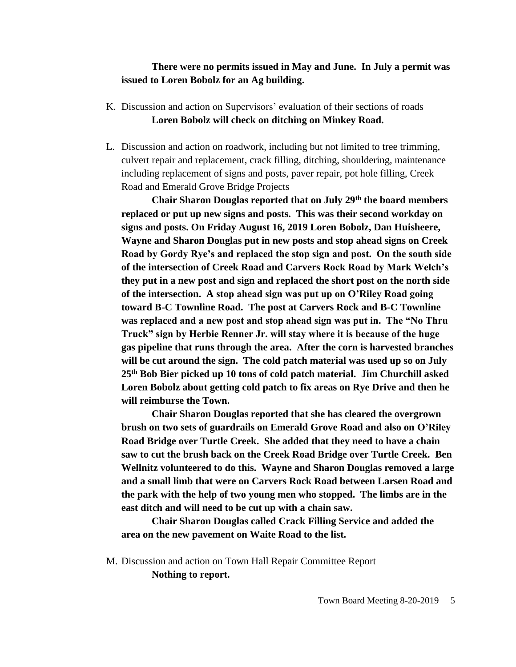### **There were no permits issued in May and June. In July a permit was issued to Loren Bobolz for an Ag building.**

- K. Discussion and action on Supervisors' evaluation of their sections of roads **Loren Bobolz will check on ditching on Minkey Road.**
- L. Discussion and action on roadwork, including but not limited to tree trimming, culvert repair and replacement, crack filling, ditching, shouldering, maintenance including replacement of signs and posts, paver repair, pot hole filling, Creek Road and Emerald Grove Bridge Projects

**Chair Sharon Douglas reported that on July 29th the board members replaced or put up new signs and posts. This was their second workday on signs and posts. On Friday August 16, 2019 Loren Bobolz, Dan Huisheere, Wayne and Sharon Douglas put in new posts and stop ahead signs on Creek Road by Gordy Rye's and replaced the stop sign and post. On the south side of the intersection of Creek Road and Carvers Rock Road by Mark Welch's they put in a new post and sign and replaced the short post on the north side of the intersection. A stop ahead sign was put up on O'Riley Road going toward B-C Townline Road. The post at Carvers Rock and B-C Townline was replaced and a new post and stop ahead sign was put in. The "No Thru Truck" sign by Herbie Renner Jr. will stay where it is because of the huge gas pipeline that runs through the area. After the corn is harvested branches will be cut around the sign. The cold patch material was used up so on July 25th Bob Bier picked up 10 tons of cold patch material. Jim Churchill asked Loren Bobolz about getting cold patch to fix areas on Rye Drive and then he will reimburse the Town.**

**Chair Sharon Douglas reported that she has cleared the overgrown brush on two sets of guardrails on Emerald Grove Road and also on O'Riley Road Bridge over Turtle Creek. She added that they need to have a chain saw to cut the brush back on the Creek Road Bridge over Turtle Creek. Ben Wellnitz volunteered to do this. Wayne and Sharon Douglas removed a large and a small limb that were on Carvers Rock Road between Larsen Road and the park with the help of two young men who stopped. The limbs are in the east ditch and will need to be cut up with a chain saw.**

**Chair Sharon Douglas called Crack Filling Service and added the area on the new pavement on Waite Road to the list.** 

M. Discussion and action on Town Hall Repair Committee Report **Nothing to report.**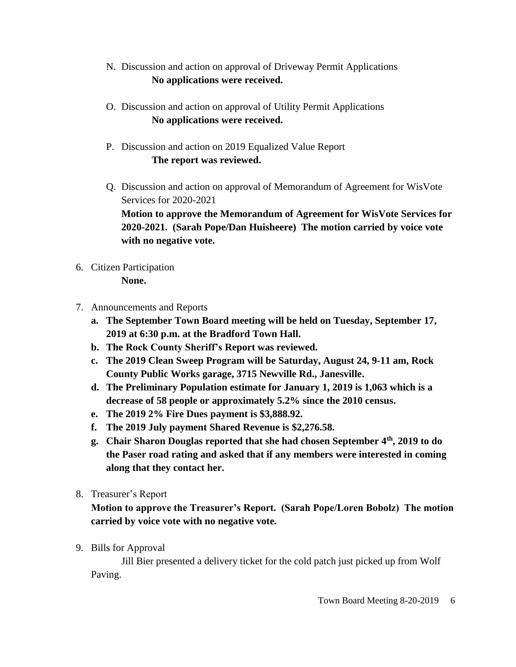- N. Discussion and action on approval of Driveway Permit Applications **No applications were received.**
- O. Discussion and action on approval of Utility Permit Applications **No applications were received.**
- P. Discussion and action on 2019 Equalized Value Report **The report was reviewed.**
- Q. Discussion and action on approval of Memorandum of Agreement for WisVote Services for 2020-2021

**Motion to approve the Memorandum of Agreement for WisVote Services for 2020-2021. (Sarah Pope/Dan Huisheere) The motion carried by voice vote with no negative vote.**

6. Citizen Participation

**None.**

- 7. Announcements and Reports
	- **a. The September Town Board meeting will be held on Tuesday, September 17, 2019 at 6:30 p.m. at the Bradford Town Hall.**
	- **b. The Rock County Sheriff's Report was reviewed.**
	- **c. The 2019 Clean Sweep Program will be Saturday, August 24, 9-11 am, Rock County Public Works garage, 3715 Newville Rd., Janesville.**
	- **d. The Preliminary Population estimate for January 1, 2019 is 1,063 which is a decrease of 58 people or approximately 5.2% since the 2010 census.**
	- **e. The 2019 2% Fire Dues payment is \$3,888.92.**
	- **f. The 2019 July payment Shared Revenue is \$2,276.58.**
	- **g. Chair Sharon Douglas reported that she had chosen September 4th, 2019 to do the Paser road rating and asked that if any members were interested in coming along that they contact her.**
- 8. Treasurer's Report

**Motion to approve the Treasurer's Report. (Sarah Pope/Loren Bobolz) The motion carried by voice vote with no negative vote.**

9. Bills for Approval

Jill Bier presented a delivery ticket for the cold patch just picked up from Wolf Paving.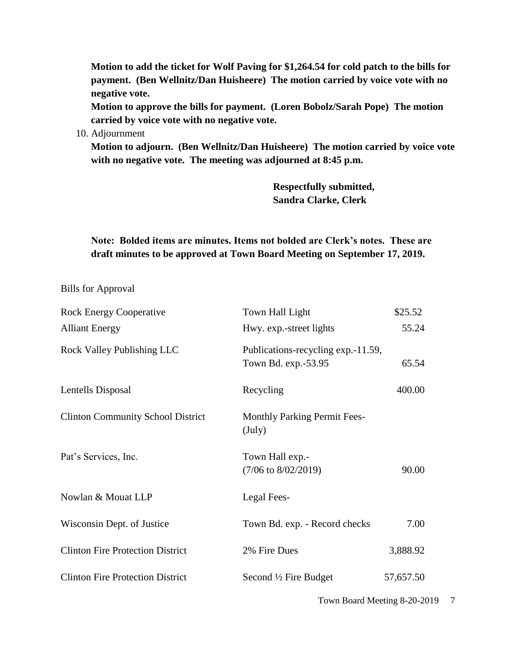**Motion to add the ticket for Wolf Paving for \$1,264.54 for cold patch to the bills for payment. (Ben Wellnitz/Dan Huisheere) The motion carried by voice vote with no negative vote.**

**Motion to approve the bills for payment. (Loren Bobolz/Sarah Pope) The motion carried by voice vote with no negative vote.**

10. Adjournment

**Motion to adjourn. (Ben Wellnitz/Dan Huisheere) The motion carried by voice vote with no negative vote. The meeting was adjourned at 8:45 p.m.**

> **Respectfully submitted, Sandra Clarke, Clerk**

## **Note: Bolded items are minutes. Items not bolded are Clerk's notes. These are draft minutes to be approved at Town Board Meeting on September 17, 2019.**

Bills for Approval

| <b>Rock Energy Cooperative</b>           | Town Hall Light                                           | \$25.52   |
|------------------------------------------|-----------------------------------------------------------|-----------|
| <b>Alliant Energy</b>                    | Hwy. exp.-street lights                                   | 55.24     |
| <b>Rock Valley Publishing LLC</b>        | Publications-recycling exp.-11.59,<br>Town Bd. exp.-53.95 | 65.54     |
| Lentells Disposal                        | Recycling                                                 | 400.00    |
| <b>Clinton Community School District</b> | <b>Monthly Parking Permit Fees-</b><br>$(\mathrm{July})$  |           |
| Pat's Services, Inc.                     | Town Hall exp.-<br>$(7/06 \text{ to } 8/02/2019)$         | 90.00     |
| Nowlan & Mouat LLP                       | Legal Fees-                                               |           |
| Wisconsin Dept. of Justice               | Town Bd. exp. - Record checks                             | 7.00      |
| <b>Clinton Fire Protection District</b>  | 2% Fire Dues                                              | 3,888.92  |
| <b>Clinton Fire Protection District</b>  | Second $\frac{1}{2}$ Fire Budget                          | 57,657.50 |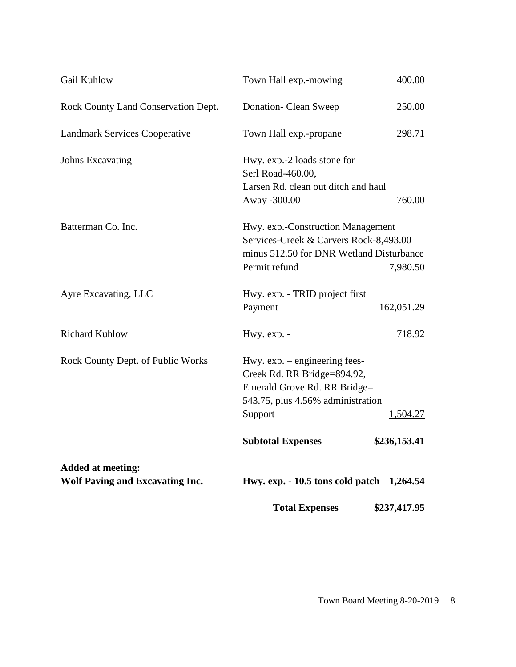| Gail Kuhlow                                                        | Town Hall exp.-mowing                                                                                                                                      | 400.00          |
|--------------------------------------------------------------------|------------------------------------------------------------------------------------------------------------------------------------------------------------|-----------------|
| Rock County Land Conservation Dept.                                | Donation- Clean Sweep                                                                                                                                      | 250.00          |
| <b>Landmark Services Cooperative</b>                               | Town Hall exp.-propane                                                                                                                                     | 298.71          |
| <b>Johns Excavating</b>                                            | Hwy. exp.-2 loads stone for<br>Serl Road-460.00,<br>Larsen Rd. clean out ditch and haul<br>Away -300.00                                                    | 760.00          |
| Batterman Co. Inc.                                                 | Hwy. exp.-Construction Management<br>Services-Creek & Carvers Rock-8,493.00<br>minus 512.50 for DNR Wetland Disturbance<br>Permit refund<br>7,980.50       |                 |
| Ayre Excavating, LLC                                               | Hwy. exp. - TRID project first<br>Payment                                                                                                                  | 162,051.29      |
| <b>Richard Kuhlow</b>                                              | Hwy. exp. -                                                                                                                                                | 718.92          |
| Rock County Dept. of Public Works                                  | Hwy. $exp. -$ engineering fees-<br>Creek Rd. RR Bridge=894.92,<br>Emerald Grove Rd. RR Bridge=<br>543.75, plus 4.56% administration<br>Support<br>1,504.27 |                 |
|                                                                    | <b>Subtotal Expenses</b>                                                                                                                                   | \$236,153.41    |
| <b>Added at meeting:</b><br><b>Wolf Paving and Excavating Inc.</b> | Hwy. exp. - 10.5 tons cold patch                                                                                                                           | <u>1,264.54</u> |
|                                                                    | <b>Total Expenses</b>                                                                                                                                      | \$237,417.95    |